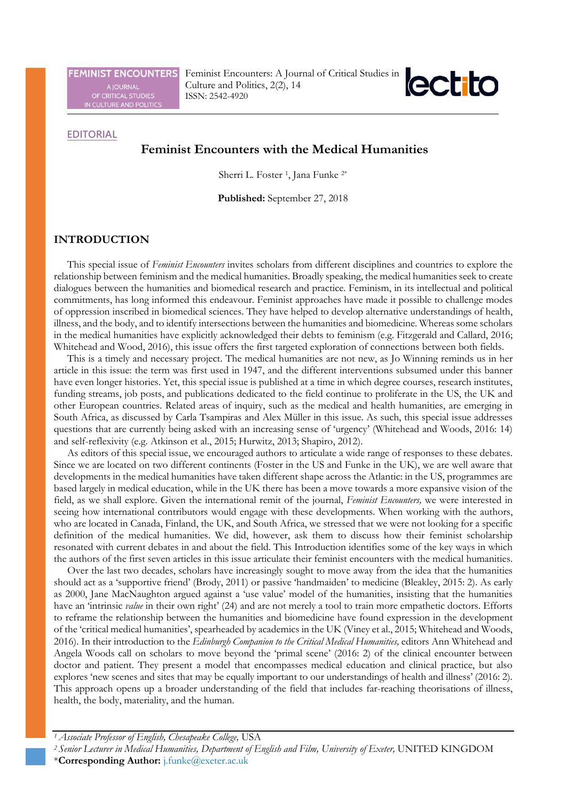**FEMINIST ENCOUNTERS** 

A JOURNAL<br>OF CRITICAL STUDIES<br>IN CULTURE AND POLITICS

Feminist Encounters: A Journal of Critical Studies in Culture and Politics, 2(2), 14 ISSN: 2542-4920



# **EDITORIAL**

# **Feminist Encounters with the Medical Humanities**

Sherri L. Foster <sup>1</sup>, Jana Funke <sup>2\*</sup>

**Published:** September 27, 2018

#### **INTRODUCTION**

This special issue of *Feminist Encounters* invites scholars from different disciplines and countries to explore the relationship between feminism and the medical humanities. Broadly speaking, the medical humanities seek to create dialogues between the humanities and biomedical research and practice. Feminism, in its intellectual and political commitments, has long informed this endeavour. Feminist approaches have made it possible to challenge modes of oppression inscribed in biomedical sciences. They have helped to develop alternative understandings of health, illness, and the body, and to identify intersections between the humanities and biomedicine. Whereas some scholars in the medical humanities have explicitly acknowledged their debts to feminism (e.g. Fitzgerald and Callard, 2016; Whitehead and Wood, 2016), this issue offers the first targeted exploration of connections between both fields.

This is a timely and necessary project. The medical humanities are not new, as Jo Winning reminds us in her article in this issue: the term was first used in 1947, and the different interventions subsumed under this banner have even longer histories. Yet, this special issue is published at a time in which degree courses, research institutes, funding streams, job posts, and publications dedicated to the field continue to proliferate in the US, the UK and other European countries. Related areas of inquiry, such as the medical and health humanities, are emerging in South Africa, as discussed by Carla Tsampiras and Alex Müller in this issue. As such, this special issue addresses questions that are currently being asked with an increasing sense of 'urgency' (Whitehead and Woods, 2016: 14) and self-reflexivity (e.g. Atkinson et al., 2015; Hurwitz, 2013; Shapiro, 2012).

As editors of this special issue, we encouraged authors to articulate a wide range of responses to these debates. Since we are located on two different continents (Foster in the US and Funke in the UK), we are well aware that developments in the medical humanities have taken different shape across the Atlantic: in the US, programmes are based largely in medical education, while in the UK there has been a move towards a more expansive vision of the field, as we shall explore. Given the international remit of the journal, *Feminist Encounters,* we were interested in seeing how international contributors would engage with these developments. When working with the authors, who are located in Canada, Finland, the UK, and South Africa, we stressed that we were not looking for a specific definition of the medical humanities. We did, however, ask them to discuss how their feminist scholarship resonated with current debates in and about the field. This Introduction identifies some of the key ways in which the authors of the first seven articles in this issue articulate their feminist encounters with the medical humanities.

Over the last two decades, scholars have increasingly sought to move away from the idea that the humanities should act as a 'supportive friend' (Brody, 2011) or passive 'handmaiden' to medicine (Bleakley, 2015: 2). As early as 2000, Jane MacNaughton argued against a 'use value' model of the humanities, insisting that the humanities have an 'intrinsic *value* in their own right' (24) and are not merely a tool to train more empathetic doctors. Efforts to reframe the relationship between the humanities and biomedicine have found expression in the development of the 'critical medical humanities', spearheaded by academics in the UK (Viney et al., 2015; Whitehead and Woods, 2016). In their introduction to the *Edinburgh Companion to the Critical Medical Humanities,* editors Ann Whitehead and Angela Woods call on scholars to move beyond the 'primal scene' (2016: 2) of the clinical encounter between doctor and patient. They present a model that encompasses medical education and clinical practice, but also explores 'new scenes and sites that may be equally important to our understandings of health and illness' (2016: 2). This approach opens up a broader understanding of the field that includes far-reaching theorisations of illness, health, the body, materiality, and the human.

*<sup>1</sup> Associate Professor of English, Chesapeake College,* USA

*<sup>2</sup> Senior Lecturer in Medical Humanities, Department of English and Film, University of Exeter,* UNITED KINGDOM

<sup>\*</sup>**Corresponding Author:** [j.funke@exeter.ac.uk](mailto:j.funke@exeter.ac.uk)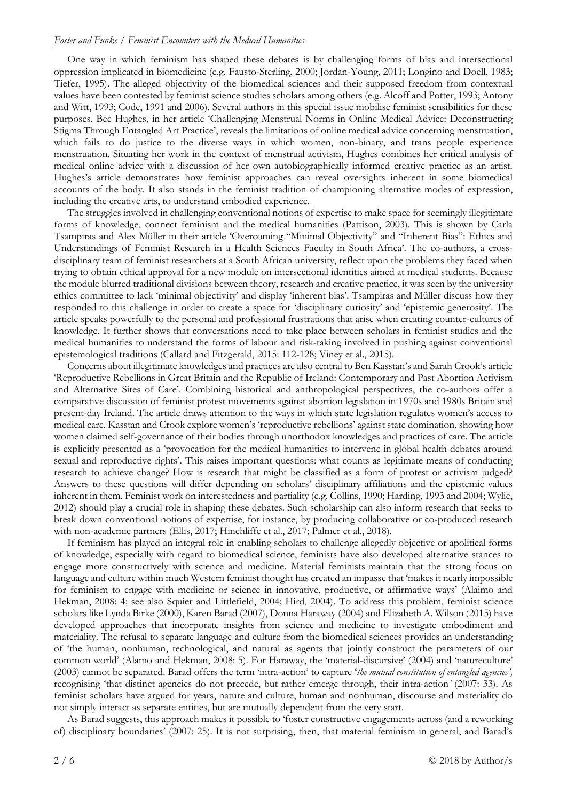One way in which feminism has shaped these debates is by challenging forms of bias and intersectional oppression implicated in biomedicine (e.g. Fausto-Sterling, 2000; Jordan-Young, 2011; Longino and Doell, 1983; Tiefer, 1995). The alleged objectivity of the biomedical sciences and their supposed freedom from contextual values have been contested by feminist science studies scholars among others (e.g. Alcoff and Potter, 1993; Antony and Witt, 1993; Code, 1991 and 2006). Several authors in this special issue mobilise feminist sensibilities for these purposes. Bee Hughes, in her article 'Challenging Menstrual Norms in Online Medical Advice: Deconstructing Stigma Through Entangled Art Practice', reveals the limitations of online medical advice concerning menstruation, which fails to do justice to the diverse ways in which women, non-binary, and trans people experience menstruation. Situating her work in the context of menstrual activism, Hughes combines her critical analysis of medical online advice with a discussion of her own autobiographically informed creative practice as an artist. Hughes's article demonstrates how feminist approaches can reveal oversights inherent in some biomedical accounts of the body. It also stands in the feminist tradition of championing alternative modes of expression, including the creative arts, to understand embodied experience.

The struggles involved in challenging conventional notions of expertise to make space for seemingly illegitimate forms of knowledge, connect feminism and the medical humanities (Pattison, 2003). This is shown by Carla Tsampiras and Alex Müller in their article 'Overcoming "Minimal Objectivity" and "Inherent Bias": Ethics and Understandings of Feminist Research in a Health Sciences Faculty in South Africa'. The co-authors, a crossdisciplinary team of feminist researchers at a South African university, reflect upon the problems they faced when trying to obtain ethical approval for a new module on intersectional identities aimed at medical students. Because the module blurred traditional divisions between theory, research and creative practice, it was seen by the university ethics committee to lack 'minimal objectivity' and display 'inherent bias'. Tsampiras and Müller discuss how they responded to this challenge in order to create a space for 'disciplinary curiosity' and 'epistemic generosity'. The article speaks powerfully to the personal and professional frustrations that arise when creating counter-cultures of knowledge. It further shows that conversations need to take place between scholars in feminist studies and the medical humanities to understand the forms of labour and risk-taking involved in pushing against conventional epistemological traditions (Callard and Fitzgerald, 2015: 112-128; Viney et al., 2015).

Concerns about illegitimate knowledges and practices are also central to Ben Kasstan's and Sarah Crook's article 'Reproductive Rebellions in Great Britain and the Republic of Ireland: Contemporary and Past Abortion Activism and Alternative Sites of Care'. Combining historical and anthropological perspectives, the co-authors offer a comparative discussion of feminist protest movements against abortion legislation in 1970s and 1980s Britain and present-day Ireland. The article draws attention to the ways in which state legislation regulates women's access to medical care. Kasstan and Crook explore women's 'reproductive rebellions' against state domination, showing how women claimed self-governance of their bodies through unorthodox knowledges and practices of care. The article is explicitly presented as a 'provocation for the medical humanities to intervene in global health debates around sexual and reproductive rights'. This raises important questions: what counts as legitimate means of conducting research to achieve change? How is research that might be classified as a form of protest or activism judged? Answers to these questions will differ depending on scholars' disciplinary affiliations and the epistemic values inherent in them. Feminist work on interestedness and partiality (e.g. Collins, 1990; Harding, 1993 and 2004; Wylie, 2012) should play a crucial role in shaping these debates. Such scholarship can also inform research that seeks to break down conventional notions of expertise, for instance, by producing collaborative or co-produced research with non-academic partners (Ellis, 2017; Hinchliffe et al., 2017; Palmer et al., 2018).

If feminism has played an integral role in enabling scholars to challenge allegedly objective or apolitical forms of knowledge, especially with regard to biomedical science, feminists have also developed alternative stances to engage more constructively with science and medicine. Material feminists maintain that the strong focus on language and culture within much Western feminist thought has created an impasse that 'makes it nearly impossible for feminism to engage with medicine or science in innovative, productive, or affirmative ways' (Alaimo and Hekman, 2008: 4; see also Squier and Littlefield, 2004; Hird, 2004). To address this problem, feminist science scholars like Lynda Birke (2000), Karen Barad (2007), Donna Haraway (2004) and Elizabeth A. Wilson (2015) have developed approaches that incorporate insights from science and medicine to investigate embodiment and materiality. The refusal to separate language and culture from the biomedical sciences provides an understanding of 'the human, nonhuman, technological, and natural as agents that jointly construct the parameters of our common world' (Alamo and Hekman, 2008: 5). For Haraway, the 'material-discursive' (2004) and 'natureculture' (2003) cannot be separated. Barad offers the term 'intra-action' to capture '*the mutual constitution of entangled agencies',*  recognising 'that distinct agencies do not precede, but rather emerge through, their intra-action*'* (2007: 33)*.* As feminist scholars have argued for years, nature and culture, human and nonhuman, discourse and materiality do not simply interact as separate entities, but are mutually dependent from the very start.

As Barad suggests, this approach makes it possible to 'foster constructive engagements across (and a reworking of) disciplinary boundaries' (2007: 25). It is not surprising, then, that material feminism in general, and Barad's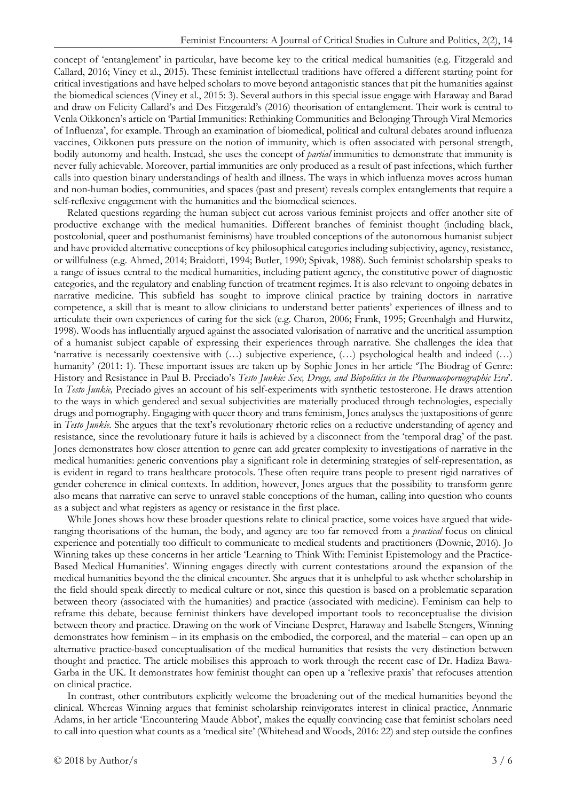concept of 'entanglement' in particular, have become key to the critical medical humanities (e.g. Fitzgerald and Callard, 2016; Viney et al., 2015). These feminist intellectual traditions have offered a different starting point for critical investigations and have helped scholars to move beyond antagonistic stances that pit the humanities against the biomedical sciences (Viney et al., 2015: 3). Several authors in this special issue engage with Haraway and Barad and draw on Felicity Callard's and Des Fitzgerald's (2016) theorisation of entanglement. Their work is central to Venla Oikkonen's article on 'Partial Immunities: Rethinking Communities and Belonging Through Viral Memories of Influenza', for example. Through an examination of biomedical, political and cultural debates around influenza vaccines, Oikkonen puts pressure on the notion of immunity, which is often associated with personal strength, bodily autonomy and health. Instead, she uses the concept of *partial* immunities to demonstrate that immunity is never fully achievable. Moreover, partial immunities are only produced as a result of past infections, which further calls into question binary understandings of health and illness. The ways in which influenza moves across human and non-human bodies, communities, and spaces (past and present) reveals complex entanglements that require a self-reflexive engagement with the humanities and the biomedical sciences.

Related questions regarding the human subject cut across various feminist projects and offer another site of productive exchange with the medical humanities. Different branches of feminist thought (including black, postcolonial, queer and posthumanist feminisms) have troubled conceptions of the autonomous humanist subject and have provided alternative conceptions of key philosophical categories including subjectivity, agency, resistance, or willfulness (e.g. Ahmed, 2014; Braidotti, 1994; Butler, 1990; Spivak, 1988). Such feminist scholarship speaks to a range of issues central to the medical humanities, including patient agency, the constitutive power of diagnostic categories, and the regulatory and enabling function of treatment regimes. It is also relevant to ongoing debates in narrative medicine. This subfield has sought to improve clinical practice by training doctors in narrative competence, a skill that is meant to allow clinicians to understand better patients' experiences of illness and to articulate their own experiences of caring for the sick (e.g. Charon, 2006; Frank, 1995; Greenhalgh and Hurwitz, 1998). Woods has influentially argued against the associated valorisation of narrative and the uncritical assumption of a humanist subject capable of expressing their experiences through narrative. She challenges the idea that 'narrative is necessarily coextensive with (…) subjective experience, (…) psychological health and indeed (…) humanity' (2011: 1). These important issues are taken up by Sophie Jones in her article 'The Biodrag of Genre: History and Resistance in Paul B. Preciado's *Testo Junkie: Sex, Drugs, and Biopolitics in the Pharmacopornographic Era*'. In *Testo Junkie,* Preciado gives an account of his self-experiments with synthetic testosterone. He draws attention to the ways in which gendered and sexual subjectivities are materially produced through technologies, especially drugs and pornography. Engaging with queer theory and trans feminism, Jones analyses the juxtapositions of genre in *Testo Junkie.* She argues that the text's revolutionary rhetoric relies on a reductive understanding of agency and resistance, since the revolutionary future it hails is achieved by a disconnect from the 'temporal drag' of the past. Jones demonstrates how closer attention to genre can add greater complexity to investigations of narrative in the medical humanities: generic conventions play a significant role in determining strategies of self-representation, as is evident in regard to trans healthcare protocols. These often require trans people to present rigid narratives of gender coherence in clinical contexts. In addition, however, Jones argues that the possibility to transform genre also means that narrative can serve to unravel stable conceptions of the human, calling into question who counts as a subject and what registers as agency or resistance in the first place.

While Jones shows how these broader questions relate to clinical practice, some voices have argued that wideranging theorisations of the human, the body, and agency are too far removed from a *practical* focus on clinical experience and potentially too difficult to communicate to medical students and practitioners (Downie, 2016). Jo Winning takes up these concerns in her article 'Learning to Think With: Feminist Epistemology and the Practice-Based Medical Humanities'. Winning engages directly with current contestations around the expansion of the medical humanities beyond the the clinical encounter. She argues that it is unhelpful to ask whether scholarship in the field should speak directly to medical culture or not, since this question is based on a problematic separation between theory (associated with the humanities) and practice (associated with medicine). Feminism can help to reframe this debate, because feminist thinkers have developed important tools to reconceptualise the division between theory and practice. Drawing on the work of Vinciane Despret, Haraway and Isabelle Stengers, Winning demonstrates how feminism – in its emphasis on the embodied, the corporeal, and the material – can open up an alternative practice-based conceptualisation of the medical humanities that resists the very distinction between thought and practice. The article mobilises this approach to work through the recent case of Dr. Hadiza Bawa-Garba in the UK. It demonstrates how feminist thought can open up a 'reflexive praxis' that refocuses attention on clinical practice.

In contrast, other contributors explicitly welcome the broadening out of the medical humanities beyond the clinical. Whereas Winning argues that feminist scholarship reinvigorates interest in clinical practice, Annmarie Adams, in her article 'Encountering Maude Abbot', makes the equally convincing case that feminist scholars need to call into question what counts as a 'medical site' (Whitehead and Woods, 2016: 22) and step outside the confines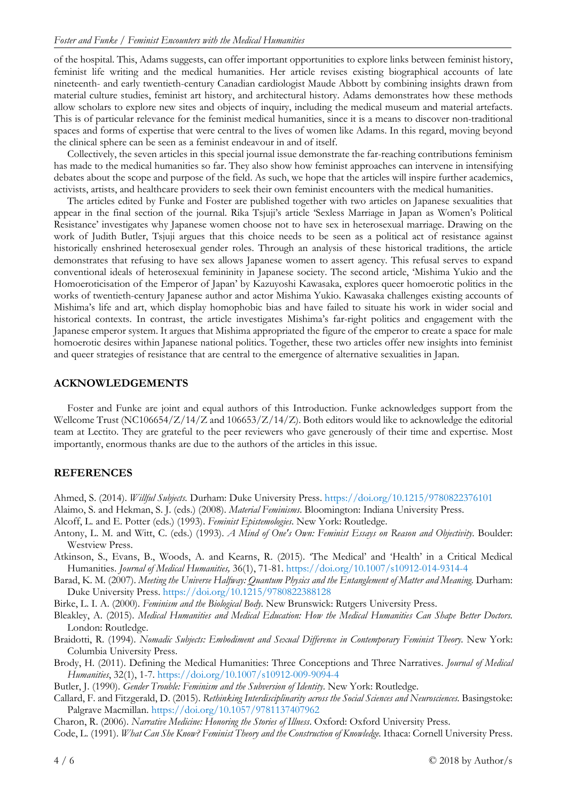of the hospital. This, Adams suggests, can offer important opportunities to explore links between feminist history, feminist life writing and the medical humanities. Her article revises existing biographical accounts of late nineteenth- and early twentieth-century Canadian cardiologist Maude Abbott by combining insights drawn from material culture studies, feminist art history, and architectural history. Adams demonstrates how these methods allow scholars to explore new sites and objects of inquiry, including the medical museum and material artefacts. This is of particular relevance for the feminist medical humanities, since it is a means to discover non-traditional spaces and forms of expertise that were central to the lives of women like Adams. In this regard, moving beyond the clinical sphere can be seen as a feminist endeavour in and of itself.

Collectively, the seven articles in this special journal issue demonstrate the far-reaching contributions feminism has made to the medical humanities so far. They also show how feminist approaches can intervene in intensifying debates about the scope and purpose of the field. As such, we hope that the articles will inspire further academics, activists, artists, and healthcare providers to seek their own feminist encounters with the medical humanities.

The articles edited by Funke and Foster are published together with two articles on Japanese sexualities that appear in the final section of the journal. Rika Tsjuji's article 'Sexless Marriage in Japan as Women's Political Resistance' investigates why Japanese women choose not to have sex in heterosexual marriage. Drawing on the work of Judith Butler, Tsjuji argues that this choice needs to be seen as a political act of resistance against historically enshrined heterosexual gender roles. Through an analysis of these historical traditions, the article demonstrates that refusing to have sex allows Japanese women to assert agency. This refusal serves to expand conventional ideals of heterosexual femininity in Japanese society. The second article, 'Mishima Yukio and the Homoeroticisation of the Emperor of Japan' by Kazuyoshi Kawasaka, explores queer homoerotic politics in the works of twentieth-century Japanese author and actor Mishima Yukio. Kawasaka challenges existing accounts of Mishima's life and art, which display homophobic bias and have failed to situate his work in wider social and historical contexts. In contrast, the article investigates Mishima's far-right politics and engagement with the Japanese emperor system. It argues that Mishima appropriated the figure of the emperor to create a space for male homoerotic desires within Japanese national politics. Together, these two articles offer new insights into feminist and queer strategies of resistance that are central to the emergence of alternative sexualities in Japan.

### **ACKNOWLEDGEMENTS**

Foster and Funke are joint and equal authors of this Introduction. Funke acknowledges support from the Wellcome Trust (NC106654/Z/14/Z and 106653/Z/14/Z). Both editors would like to acknowledge the editorial team at Lectito. They are grateful to the peer reviewers who gave generously of their time and expertise. Most importantly, enormous thanks are due to the authors of the articles in this issue.

## **REFERENCES**

Ahmed, S. (2014). *Willful Subjects.* Durham: Duke University Press. <https://doi.org/10.1215/9780822376101>

- Alaimo, S. and Hekman, S. J. (eds.) (2008). *Material Feminisms*. Bloomington: Indiana University Press.
- Alcoff, L. and E. Potter (eds.) (1993). *Feminist Epistemologies*. New York: Routledge.
- Antony, L. M. and Witt, C. (eds.) (1993). *A Mind of One's Own: Feminist Essays on Reason and Objectivity.* Boulder: Westview Press.
- Atkinson, S., Evans, B., Woods, A. and Kearns, R. (2015). 'The Medical' and 'Health' in a Critical Medical Humanities. *Journal of Medical Humanities,* 36(1), 71-81[. https://doi.org/10.1007/s10912-014-9314-4](https://doi.org/10.1007/s10912-014-9314-4)
- Barad, K. M. (2007). *Meeting the Universe Halfway: Quantum Physics and the Entanglement of Matter and Meaning.* Durham: Duke University Press. <https://doi.org/10.1215/9780822388128>
- Birke, L. I. A. (2000). *Feminism and the Biological Body.* New Brunswick: Rutgers University Press.
- Bleakley, A. (2015). *Medical Humanities and Medical Education: How the Medical Humanities Can Shape Better Doctors.* London: Routledge.
- Braidotti, R. (1994). *Nomadic Subjects: Embodiment and Sexual Difference in Contemporary Feminist Theory.* New York: Columbia University Press.
- Brody, H. (2011). Defining the Medical Humanities: Three Conceptions and Three Narratives. *Journal of Medical Humanities*, 32(1), 1-7.<https://doi.org/10.1007/s10912-009-9094-4>
- Butler, J. (1990). *Gender Trouble: Feminism and the Subversion of Identity*. New York: Routledge.
- Callard, F. and Fitzgerald, D. (2015). *Rethinking Interdisciplinarity across the Social Sciences and Neurosciences.* Basingstoke: Palgrave Macmillan. <https://doi.org/10.1057/9781137407962>

Charon, R. (2006). *Narrative Medicine: Honoring the Stories of Illness*. Oxford: Oxford University Press.

Code, L. (1991). *What Can She Know? Feminist Theory and the Construction of Knowledge*. Ithaca: Cornell University Press.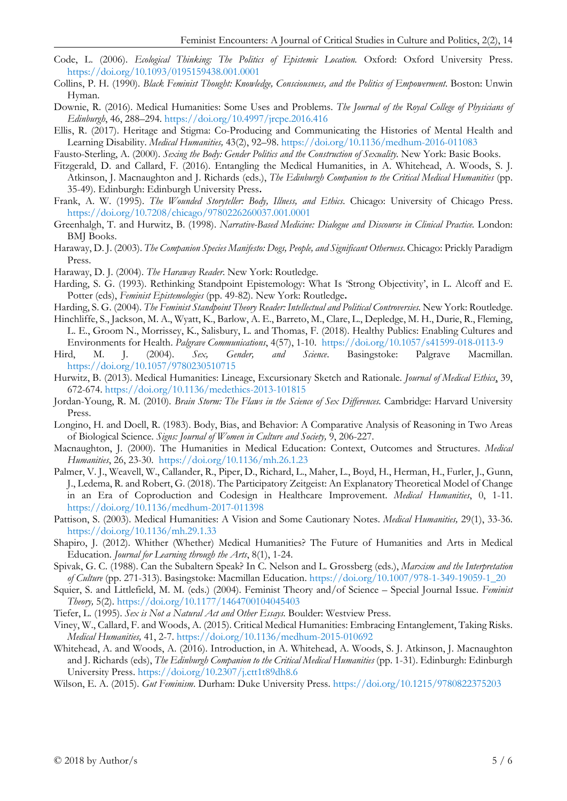- Code, L. (2006). *Ecological Thinking: The Politics of Epistemic Location.* Oxford: Oxford University Press. <https://doi.org/10.1093/0195159438.001.0001>
- Collins, P. H. (1990). *Black Feminist Thought: Knowledge, Consciousness, and the Politics of Empowerment*. Boston: Unwin Hyman.
- Downie, R. (2016). Medical Humanities: Some Uses and Problems. *The Journal of the Royal College of Physicians of Edinburgh*, 46, 288–294.<https://doi.org/10.4997/jrcpe.2016.416>
- Ellis, R. (2017). Heritage and Stigma: Co-Producing and Communicating the Histories of Mental Health and Learning Disability. *Medical Humanities,* 43(2), 92–98.<https://doi.org/10.1136/medhum-2016-011083>
- Fausto-Sterling, A. (2000). *Sexing the Body: Gender Politics and the Construction of Sexuality.* New York: Basic Books.
- Fitzgerald, D. and Callard, F. (2016). Entangling the Medical Humanities, in A. Whitehead, A. Woods, S. J. Atkinson, J. Macnaughton and J. Richards (eds.), *The Edinburgh Companion to the Critical Medical Humanities* (pp. 35-49). Edinburgh: Edinburgh University Press**.**
- Frank, A. W. (1995). *The Wounded Storyteller: Body, Illness, and Ethics*. Chicago: University of Chicago Press. <https://doi.org/10.7208/chicago/9780226260037.001.0001>
- Greenhalgh, T. and Hurwitz, B. (1998). *Narrative-Based Medicine: Dialogue and Discourse in Clinical Practice.* London: BMJ Books.
- Haraway, D. J. (2003). *The Companion Species Manifesto: Dogs, People, and Significant Otherness*. Chicago: Prickly Paradigm Press.
- Haraway, D. J. (2004). *The Haraway Reader*. New York: Routledge.
- Harding, S. G. (1993). Rethinking Standpoint Epistemology: What Is 'Strong Objectivity', in L. Alcoff and E. Potter (eds), *Feminist Epistemologies* (pp. 49-82). New York: Routledge**.**
- Harding, S. G. (2004). *The Feminist Standpoint Theory Reader: Intellectual and Political Controversies.* New York: Routledge.
- Hinchliffe, S., Jackson, M. A., Wyatt, K., Barlow, A. E., Barreto, M., Clare, L., Depledge, M. H., Durie, R., Fleming, L. E., Groom N., Morrissey, K., Salisbury, L. and Thomas, F. (2018). Healthy Publics: Enabling Cultures and Environments for Health. *Palgrave Communications*, 4(57), 1-10.<https://doi.org/10.1057/s41599-018-0113-9>
- Hird, M. J. (2004). *Sex, Gender, and Science*. Basingstoke: Palgrave Macmillan. <https://doi.org/10.1057/9780230510715>
- Hurwitz, B. (2013). Medical Humanities: Lineage, Excursionary Sketch and Rationale. *Journal of Medical Ethics*, 39, 672-674.<https://doi.org/10.1136/medethics-2013-101815>
- Jordan-Young, R. M. (2010). *Brain Storm: The Flaws in the Science of Sex Differences.* Cambridge: Harvard University Press.
- Longino, H. and Doell, R. (1983). Body, Bias, and Behavior: A Comparative Analysis of Reasoning in Two Areas of Biological Science. *Signs: Journal of Women in Culture and Society,* 9, 206-227.
- Macnaughton, J. (2000). The Humanities in Medical Education: Context, Outcomes and Structures. *Medical Humanities*, 26, 23-30.<https://doi.org/10.1136/mh.26.1.23>
- Palmer, V. J., Weavell, W., Callander, R., Piper, D., Richard, L., Maher, L., Boyd, H., Herman, H., Furler, J., Gunn, J., Ledema, R. and Robert, G. (2018). The Participatory Zeitgeist: An Explanatory Theoretical Model of Change in an Era of Coproduction and Codesign in Healthcare Improvement. *Medical Humanities*, 0, 1-11. <https://doi.org/10.1136/medhum-2017-011398>
- Pattison, S. (2003). Medical Humanities: A Vision and Some Cautionary Notes. *Medical Humanities,* 29(1), 33-36. <https://doi.org/10.1136/mh.29.1.33>
- Shapiro, J. (2012). Whither (Whether) Medical Humanities? The Future of Humanities and Arts in Medical Education. *Journal for Learning through the Arts*, 8(1), 1-24.
- Spivak, G. C. (1988). Can the Subaltern Speak? In C. Nelson and L. Grossberg (eds.), *Marxism and the Interpretation of Culture* (pp. 271-313). Basingstoke: Macmillan Education. [https://doi.org/10.1007/978-1-349-19059-1\\_20](https://doi.org/10.1007/978-1-349-19059-1_20)
- Squier, S. and Littlefield, M. M. (eds.) (2004). Feminist Theory and/of Science Special Journal Issue. *Feminist Theory,* 5(2).<https://doi.org/10.1177/1464700104045403>
- Tiefer, L. (1995). *Sex is Not a Natural Act and Other Essays.* Boulder: Westview Press.
- Viney, W., Callard, F. and Woods, A. (2015). Critical Medical Humanities: Embracing Entanglement, Taking Risks. *Medical Humanities,* 41, 2-7.<https://doi.org/10.1136/medhum-2015-010692>
- Whitehead, A. and Woods, A. (2016). Introduction, in A. Whitehead, A. Woods, S. J. Atkinson, J. Macnaughton and J. Richards (eds), *The Edinburgh Companion to the Critical Medical Humanities* (pp. 1-31). Edinburgh: Edinburgh University Press. <https://doi.org/10.2307/j.ctt1t89dh8.6>
- Wilson, E. A. (2015). *Gut Feminism*. Durham: Duke University Press. <https://doi.org/10.1215/9780822375203>